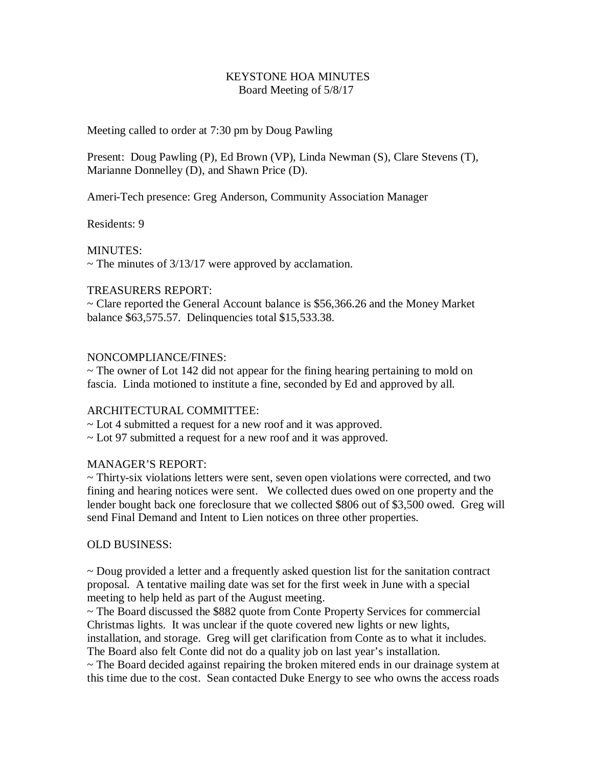### KEYSTONE HOA MINUTES Board Meeting of 5/8/17

### Meeting called to order at 7:30 pm by Doug Pawling

Present: Doug Pawling (P), Ed Brown (VP), Linda Newman (S), Clare Stevens (T), Marianne Donnelley (D), and Shawn Price (D).

Ameri-Tech presence: Greg Anderson, Community Association Manager

Residents: 9

MINUTES:

 $\sim$  The minutes of 3/13/17 were approved by acclamation.

## TREASURERS REPORT:

~ Clare reported the General Account balance is \$56,366.26 and the Money Market balance \$63,575.57. Delinquencies total \$15,533.38.

## NONCOMPLIANCE/FINES:

 $\sim$  The owner of Lot 142 did not appear for the fining hearing pertaining to mold on fascia. Linda motioned to institute a fine, seconded by Ed and approved by all.

# ARCHITECTURAL COMMITTEE:

- ~ Lot 4 submitted a request for a new roof and it was approved.
- ~ Lot 97 submitted a request for a new roof and it was approved.

# MANAGER'S REPORT:

 $\sim$  Thirty-six violations letters were sent, seven open violations were corrected, and two fining and hearing notices were sent. We collected dues owed on one property and the lender bought back one foreclosure that we collected \$806 out of \$3,500 owed. Greg will send Final Demand and Intent to Lien notices on three other properties.

#### OLD BUSINESS:

~ Doug provided a letter and a frequently asked question list for the sanitation contract proposal. A tentative mailing date was set for the first week in June with a special meeting to help held as part of the August meeting.

~ The Board discussed the \$882 quote from Conte Property Services for commercial Christmas lights. It was unclear if the quote covered new lights or new lights,

installation, and storage. Greg will get clarification from Conte as to what it includes. The Board also felt Conte did not do a quality job on last year's installation.

~ The Board decided against repairing the broken mitered ends in our drainage system at this time due to the cost. Sean contacted Duke Energy to see who owns the access roads